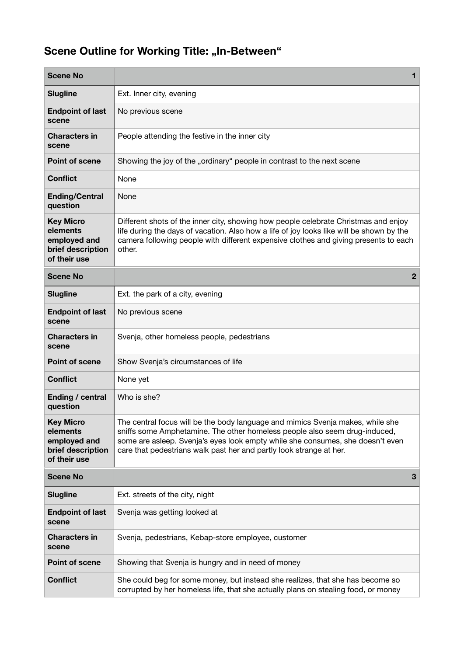## **Scene Outline for Working Title: "In-Between"**

| <b>Scene No</b>                                                                   | 1                                                                                                                                                                                                                                                                                                                     |
|-----------------------------------------------------------------------------------|-----------------------------------------------------------------------------------------------------------------------------------------------------------------------------------------------------------------------------------------------------------------------------------------------------------------------|
| <b>Slugline</b>                                                                   | Ext. Inner city, evening                                                                                                                                                                                                                                                                                              |
| <b>Endpoint of last</b><br>scene                                                  | No previous scene                                                                                                                                                                                                                                                                                                     |
| <b>Characters in</b><br>scene                                                     | People attending the festive in the inner city                                                                                                                                                                                                                                                                        |
| <b>Point of scene</b>                                                             | Showing the joy of the "ordinary" people in contrast to the next scene                                                                                                                                                                                                                                                |
| <b>Conflict</b>                                                                   | None                                                                                                                                                                                                                                                                                                                  |
| <b>Ending/Central</b><br>question                                                 | None                                                                                                                                                                                                                                                                                                                  |
| <b>Key Micro</b><br>elements<br>employed and<br>brief description<br>of their use | Different shots of the inner city, showing how people celebrate Christmas and enjoy<br>life during the days of vacation. Also how a life of joy looks like will be shown by the<br>camera following people with different expensive clothes and giving presents to each<br>other.                                     |
| <b>Scene No</b>                                                                   | 2                                                                                                                                                                                                                                                                                                                     |
| <b>Slugline</b>                                                                   | Ext. the park of a city, evening                                                                                                                                                                                                                                                                                      |
| <b>Endpoint of last</b><br>scene                                                  | No previous scene                                                                                                                                                                                                                                                                                                     |
| <b>Characters in</b><br>scene                                                     | Svenja, other homeless people, pedestrians                                                                                                                                                                                                                                                                            |
| <b>Point of scene</b>                                                             | Show Svenja's circumstances of life                                                                                                                                                                                                                                                                                   |
| <b>Conflict</b>                                                                   | None yet                                                                                                                                                                                                                                                                                                              |
| Ending / central<br>question                                                      | Who is she?                                                                                                                                                                                                                                                                                                           |
| <b>Key Micro</b><br>elements<br>employed and<br>brief description<br>of their use | The central focus will be the body language and mimics Svenja makes, while she<br>sniffs some Amphetamine. The other homeless people also seem drug-induced,<br>some are asleep. Svenja's eyes look empty while she consumes, she doesn't even<br>care that pedestrians walk past her and partly look strange at her. |
| <b>Scene No</b>                                                                   | 3                                                                                                                                                                                                                                                                                                                     |
| <b>Slugline</b>                                                                   | Ext. streets of the city, night                                                                                                                                                                                                                                                                                       |
| <b>Endpoint of last</b><br>scene                                                  | Svenja was getting looked at                                                                                                                                                                                                                                                                                          |
| <b>Characters in</b><br>scene                                                     | Svenja, pedestrians, Kebap-store employee, customer                                                                                                                                                                                                                                                                   |
| <b>Point of scene</b>                                                             | Showing that Svenja is hungry and in need of money                                                                                                                                                                                                                                                                    |
| <b>Conflict</b>                                                                   | She could beg for some money, but instead she realizes, that she has become so<br>corrupted by her homeless life, that she actually plans on stealing food, or money                                                                                                                                                  |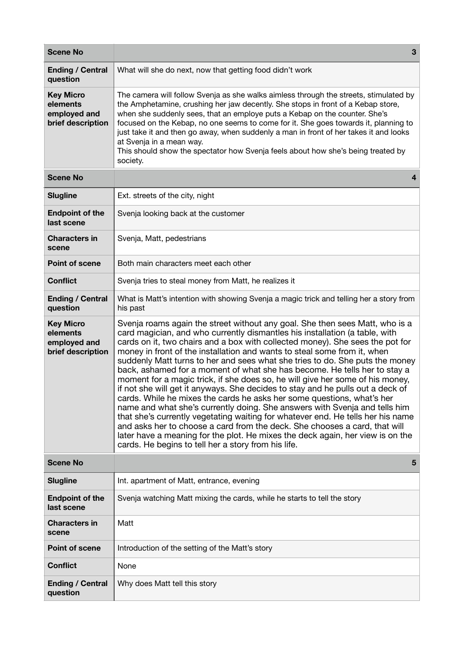| <b>Scene No</b>                                                   | 3                                                                                                                                                                                                                                                                                                                                                                                                                                                                                                                                                                                                                                                                                                                                                                                                                                                                                                                                                                                                                                                                                                                          |
|-------------------------------------------------------------------|----------------------------------------------------------------------------------------------------------------------------------------------------------------------------------------------------------------------------------------------------------------------------------------------------------------------------------------------------------------------------------------------------------------------------------------------------------------------------------------------------------------------------------------------------------------------------------------------------------------------------------------------------------------------------------------------------------------------------------------------------------------------------------------------------------------------------------------------------------------------------------------------------------------------------------------------------------------------------------------------------------------------------------------------------------------------------------------------------------------------------|
| <b>Ending / Central</b><br>question                               | What will she do next, now that getting food didn't work                                                                                                                                                                                                                                                                                                                                                                                                                                                                                                                                                                                                                                                                                                                                                                                                                                                                                                                                                                                                                                                                   |
| <b>Key Micro</b><br>elements<br>employed and<br>brief description | The camera will follow Svenja as she walks aimless through the streets, stimulated by<br>the Amphetamine, crushing her jaw decently. She stops in front of a Kebap store,<br>when she suddenly sees, that an employe puts a Kebap on the counter. She's<br>focused on the Kebap, no one seems to come for it. She goes towards it, planning to<br>just take it and then go away, when suddenly a man in front of her takes it and looks<br>at Svenja in a mean way.<br>This should show the spectator how Svenja feels about how she's being treated by<br>society.                                                                                                                                                                                                                                                                                                                                                                                                                                                                                                                                                        |
| <b>Scene No</b>                                                   | 4                                                                                                                                                                                                                                                                                                                                                                                                                                                                                                                                                                                                                                                                                                                                                                                                                                                                                                                                                                                                                                                                                                                          |
| <b>Slugline</b>                                                   | Ext. streets of the city, night                                                                                                                                                                                                                                                                                                                                                                                                                                                                                                                                                                                                                                                                                                                                                                                                                                                                                                                                                                                                                                                                                            |
| <b>Endpoint of the</b><br>last scene                              | Svenja looking back at the customer                                                                                                                                                                                                                                                                                                                                                                                                                                                                                                                                                                                                                                                                                                                                                                                                                                                                                                                                                                                                                                                                                        |
| <b>Characters in</b><br>scene                                     | Svenja, Matt, pedestrians                                                                                                                                                                                                                                                                                                                                                                                                                                                                                                                                                                                                                                                                                                                                                                                                                                                                                                                                                                                                                                                                                                  |
| <b>Point of scene</b>                                             | Both main characters meet each other                                                                                                                                                                                                                                                                                                                                                                                                                                                                                                                                                                                                                                                                                                                                                                                                                                                                                                                                                                                                                                                                                       |
| <b>Conflict</b>                                                   | Svenja tries to steal money from Matt, he realizes it                                                                                                                                                                                                                                                                                                                                                                                                                                                                                                                                                                                                                                                                                                                                                                                                                                                                                                                                                                                                                                                                      |
| <b>Ending / Central</b><br>question                               | What is Matt's intention with showing Svenja a magic trick and telling her a story from<br>his past                                                                                                                                                                                                                                                                                                                                                                                                                                                                                                                                                                                                                                                                                                                                                                                                                                                                                                                                                                                                                        |
| <b>Key Micro</b><br>elements<br>employed and<br>brief description | Svenja roams again the street without any goal. She then sees Matt, who is a<br>card magician, and who currently dismantles his installation (a table, with<br>cards on it, two chairs and a box with collected money). She sees the pot for<br>money in front of the installation and wants to steal some from it, when<br>suddenly Matt turns to her and sees what she tries to do. She puts the money<br>back, ashamed for a moment of what she has become. He tells her to stay a<br>moment for a magic trick, if she does so, he will give her some of his money,<br>if not she will get it anyways. She decides to stay and he pulls out a deck of<br>cards. While he mixes the cards he asks her some questions, what's her<br>name and what she's currently doing. She answers with Svenja and tells him<br>that she's currently vegetating waiting for whatever end. He tells her his name<br>and asks her to choose a card from the deck. She chooses a card, that will<br>later have a meaning for the plot. He mixes the deck again, her view is on the<br>cards. He begins to tell her a story from his life. |
| <b>Scene No</b>                                                   | 5                                                                                                                                                                                                                                                                                                                                                                                                                                                                                                                                                                                                                                                                                                                                                                                                                                                                                                                                                                                                                                                                                                                          |
| <b>Slugline</b>                                                   | Int. apartment of Matt, entrance, evening                                                                                                                                                                                                                                                                                                                                                                                                                                                                                                                                                                                                                                                                                                                                                                                                                                                                                                                                                                                                                                                                                  |
| <b>Endpoint of the</b><br>last scene                              | Svenja watching Matt mixing the cards, while he starts to tell the story                                                                                                                                                                                                                                                                                                                                                                                                                                                                                                                                                                                                                                                                                                                                                                                                                                                                                                                                                                                                                                                   |
| <b>Characters in</b><br>scene                                     | Matt                                                                                                                                                                                                                                                                                                                                                                                                                                                                                                                                                                                                                                                                                                                                                                                                                                                                                                                                                                                                                                                                                                                       |
| <b>Point of scene</b>                                             | Introduction of the setting of the Matt's story                                                                                                                                                                                                                                                                                                                                                                                                                                                                                                                                                                                                                                                                                                                                                                                                                                                                                                                                                                                                                                                                            |
| <b>Conflict</b>                                                   | None                                                                                                                                                                                                                                                                                                                                                                                                                                                                                                                                                                                                                                                                                                                                                                                                                                                                                                                                                                                                                                                                                                                       |
| <b>Ending / Central</b><br>question                               | Why does Matt tell this story                                                                                                                                                                                                                                                                                                                                                                                                                                                                                                                                                                                                                                                                                                                                                                                                                                                                                                                                                                                                                                                                                              |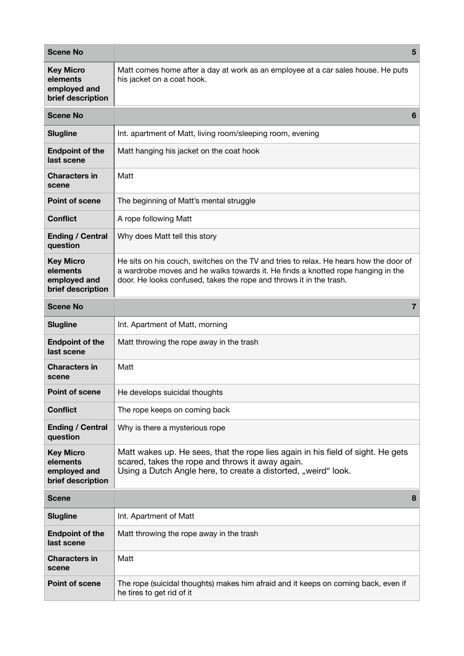| <b>Scene No</b>                                                   | 5                                                                                                                                                                                                                                                |
|-------------------------------------------------------------------|--------------------------------------------------------------------------------------------------------------------------------------------------------------------------------------------------------------------------------------------------|
| <b>Key Micro</b><br>elements<br>employed and<br>brief description | Matt comes home after a day at work as an employee at a car sales house. He puts<br>his jacket on a coat hook.                                                                                                                                   |
| <b>Scene No</b>                                                   | 6                                                                                                                                                                                                                                                |
| <b>Slugline</b>                                                   | Int. apartment of Matt, living room/sleeping room, evening                                                                                                                                                                                       |
| <b>Endpoint of the</b><br>last scene                              | Matt hanging his jacket on the coat hook                                                                                                                                                                                                         |
| <b>Characters in</b><br>scene                                     | Matt                                                                                                                                                                                                                                             |
| <b>Point of scene</b>                                             | The beginning of Matt's mental struggle                                                                                                                                                                                                          |
| <b>Conflict</b>                                                   | A rope following Matt                                                                                                                                                                                                                            |
| <b>Ending / Central</b><br>question                               | Why does Matt tell this story                                                                                                                                                                                                                    |
| <b>Key Micro</b><br>elements<br>employed and<br>brief description | He sits on his couch, switches on the TV and tries to relax. He hears how the door of<br>a wardrobe moves and he walks towards it. He finds a knotted rope hanging in the<br>door. He looks confused, takes the rope and throws it in the trash. |
| <b>Scene No</b>                                                   | 7                                                                                                                                                                                                                                                |
| <b>Slugline</b>                                                   | Int. Apartment of Matt, morning                                                                                                                                                                                                                  |
| <b>Endpoint of the</b><br>last scene                              | Matt throwing the rope away in the trash                                                                                                                                                                                                         |
| <b>Characters in</b><br>scene                                     | Matt                                                                                                                                                                                                                                             |
| <b>Point of scene</b>                                             | He develops suicidal thoughts                                                                                                                                                                                                                    |
| <b>Conflict</b>                                                   | The rope keeps on coming back                                                                                                                                                                                                                    |
| <b>Ending / Central</b><br>question                               | Why is there a mysterious rope                                                                                                                                                                                                                   |
| <b>Key Micro</b><br>elements<br>employed and<br>brief description | Matt wakes up. He sees, that the rope lies again in his field of sight. He gets<br>scared, takes the rope and throws it away again.<br>Using a Dutch Angle here, to create a distorted, "weird" look.                                            |
| <b>Scene</b>                                                      | 8                                                                                                                                                                                                                                                |
| <b>Slugline</b>                                                   | Int. Apartment of Matt                                                                                                                                                                                                                           |
| <b>Endpoint of the</b><br>last scene                              | Matt throwing the rope away in the trash                                                                                                                                                                                                         |
| <b>Characters in</b><br>scene                                     | Matt                                                                                                                                                                                                                                             |
| <b>Point of scene</b>                                             | The rope (suicidal thoughts) makes him afraid and it keeps on coming back, even if<br>he tires to get rid of it                                                                                                                                  |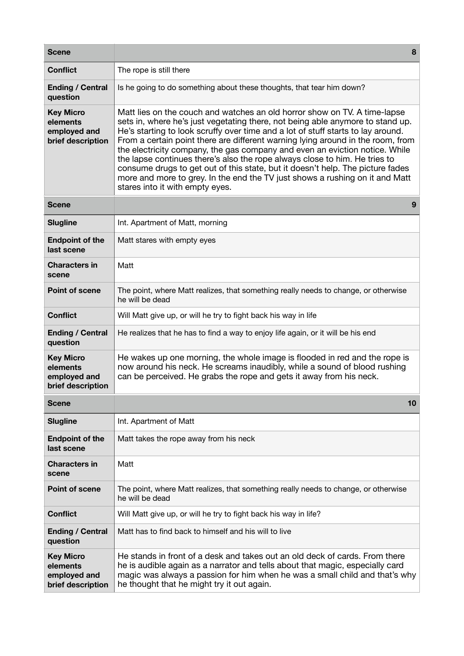| <b>Scene</b>                                                      | 8                                                                                                                                                                                                                                                                                                                                                                                                                                                                                                                                                                                                                                                                                                    |
|-------------------------------------------------------------------|------------------------------------------------------------------------------------------------------------------------------------------------------------------------------------------------------------------------------------------------------------------------------------------------------------------------------------------------------------------------------------------------------------------------------------------------------------------------------------------------------------------------------------------------------------------------------------------------------------------------------------------------------------------------------------------------------|
| <b>Conflict</b>                                                   | The rope is still there                                                                                                                                                                                                                                                                                                                                                                                                                                                                                                                                                                                                                                                                              |
| <b>Ending / Central</b><br>question                               | Is he going to do something about these thoughts, that tear him down?                                                                                                                                                                                                                                                                                                                                                                                                                                                                                                                                                                                                                                |
| <b>Key Micro</b><br>elements<br>employed and<br>brief description | Matt lies on the couch and watches an old horror show on TV. A time-lapse<br>sets in, where he's just vegetating there, not being able anymore to stand up.<br>He's starting to look scruffy over time and a lot of stuff starts to lay around.<br>From a certain point there are different warning lying around in the room, from<br>the electricity company, the gas company and even an eviction notice. While<br>the lapse continues there's also the rope always close to him. He tries to<br>consume drugs to get out of this state, but it doesn't help. The picture fades<br>more and more to grey. In the end the TV just shows a rushing on it and Matt<br>stares into it with empty eyes. |
| <b>Scene</b>                                                      | 9                                                                                                                                                                                                                                                                                                                                                                                                                                                                                                                                                                                                                                                                                                    |
| <b>Slugline</b>                                                   | Int. Apartment of Matt, morning                                                                                                                                                                                                                                                                                                                                                                                                                                                                                                                                                                                                                                                                      |
| <b>Endpoint of the</b><br>last scene                              | Matt stares with empty eyes                                                                                                                                                                                                                                                                                                                                                                                                                                                                                                                                                                                                                                                                          |
| <b>Characters in</b><br>scene                                     | Matt                                                                                                                                                                                                                                                                                                                                                                                                                                                                                                                                                                                                                                                                                                 |
| <b>Point of scene</b>                                             | The point, where Matt realizes, that something really needs to change, or otherwise<br>he will be dead                                                                                                                                                                                                                                                                                                                                                                                                                                                                                                                                                                                               |
| <b>Conflict</b>                                                   | Will Matt give up, or will he try to fight back his way in life                                                                                                                                                                                                                                                                                                                                                                                                                                                                                                                                                                                                                                      |
| <b>Ending / Central</b><br>question                               | He realizes that he has to find a way to enjoy life again, or it will be his end                                                                                                                                                                                                                                                                                                                                                                                                                                                                                                                                                                                                                     |
| <b>Key Micro</b><br>elements<br>employed and<br>brief description | He wakes up one morning, the whole image is flooded in red and the rope is<br>now around his neck. He screams inaudibly, while a sound of blood rushing<br>can be perceived. He grabs the rope and gets it away from his neck.                                                                                                                                                                                                                                                                                                                                                                                                                                                                       |
| <b>Scene</b>                                                      | 10                                                                                                                                                                                                                                                                                                                                                                                                                                                                                                                                                                                                                                                                                                   |
| <b>Slugline</b>                                                   | Int. Apartment of Matt                                                                                                                                                                                                                                                                                                                                                                                                                                                                                                                                                                                                                                                                               |
| <b>Endpoint of the</b><br>last scene                              | Matt takes the rope away from his neck                                                                                                                                                                                                                                                                                                                                                                                                                                                                                                                                                                                                                                                               |
| <b>Characters in</b><br>scene                                     | Matt                                                                                                                                                                                                                                                                                                                                                                                                                                                                                                                                                                                                                                                                                                 |
| <b>Point of scene</b>                                             | The point, where Matt realizes, that something really needs to change, or otherwise<br>he will be dead                                                                                                                                                                                                                                                                                                                                                                                                                                                                                                                                                                                               |
| <b>Conflict</b>                                                   | Will Matt give up, or will he try to fight back his way in life?                                                                                                                                                                                                                                                                                                                                                                                                                                                                                                                                                                                                                                     |
| <b>Ending / Central</b><br>question                               | Matt has to find back to himself and his will to live                                                                                                                                                                                                                                                                                                                                                                                                                                                                                                                                                                                                                                                |
| <b>Key Micro</b><br>elements<br>employed and<br>brief description | He stands in front of a desk and takes out an old deck of cards. From there<br>he is audible again as a narrator and tells about that magic, especially card<br>magic was always a passion for him when he was a small child and that's why<br>he thought that he might try it out again.                                                                                                                                                                                                                                                                                                                                                                                                            |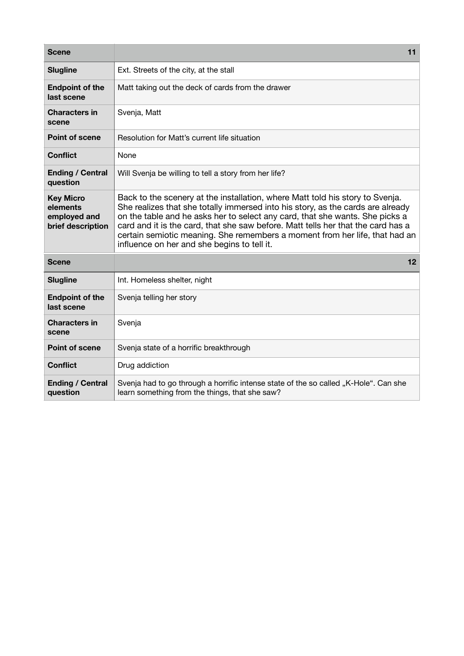| <b>Scene</b>                                                      | 11                                                                                                                                                                                                                                                                                                                                                                                                                                                                 |
|-------------------------------------------------------------------|--------------------------------------------------------------------------------------------------------------------------------------------------------------------------------------------------------------------------------------------------------------------------------------------------------------------------------------------------------------------------------------------------------------------------------------------------------------------|
| <b>Slugline</b>                                                   | Ext. Streets of the city, at the stall                                                                                                                                                                                                                                                                                                                                                                                                                             |
| <b>Endpoint of the</b><br>last scene                              | Matt taking out the deck of cards from the drawer                                                                                                                                                                                                                                                                                                                                                                                                                  |
| <b>Characters in</b><br>scene                                     | Svenja, Matt                                                                                                                                                                                                                                                                                                                                                                                                                                                       |
| <b>Point of scene</b>                                             | Resolution for Matt's current life situation                                                                                                                                                                                                                                                                                                                                                                                                                       |
| <b>Conflict</b>                                                   | None                                                                                                                                                                                                                                                                                                                                                                                                                                                               |
| <b>Ending / Central</b><br>question                               | Will Svenja be willing to tell a story from her life?                                                                                                                                                                                                                                                                                                                                                                                                              |
| <b>Key Micro</b><br>elements<br>employed and<br>brief description | Back to the scenery at the installation, where Matt told his story to Svenja.<br>She realizes that she totally immersed into his story, as the cards are already<br>on the table and he asks her to select any card, that she wants. She picks a<br>card and it is the card, that she saw before. Matt tells her that the card has a<br>certain semiotic meaning. She remembers a moment from her life, that had an<br>influence on her and she begins to tell it. |
| <b>Scene</b>                                                      | 12                                                                                                                                                                                                                                                                                                                                                                                                                                                                 |
| <b>Slugline</b>                                                   | Int. Homeless shelter, night                                                                                                                                                                                                                                                                                                                                                                                                                                       |
| <b>Endpoint of the</b><br>last scene                              | Svenja telling her story                                                                                                                                                                                                                                                                                                                                                                                                                                           |
| <b>Characters in</b><br>scene                                     | Svenja                                                                                                                                                                                                                                                                                                                                                                                                                                                             |
| <b>Point of scene</b>                                             | Svenja state of a horrific breakthrough                                                                                                                                                                                                                                                                                                                                                                                                                            |
| <b>Conflict</b>                                                   | Drug addiction                                                                                                                                                                                                                                                                                                                                                                                                                                                     |
| <b>Ending / Central</b><br>question                               | Svenja had to go through a horrific intense state of the so called "K-Hole". Can she<br>learn something from the things, that she saw?                                                                                                                                                                                                                                                                                                                             |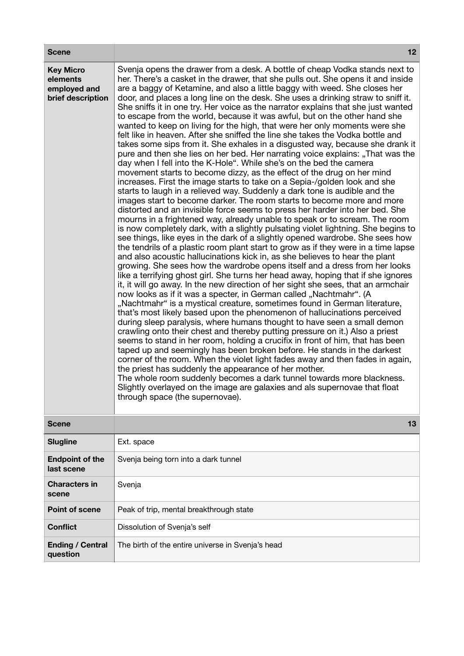| <b>Scene</b>                                                      | 12                                                                                                                                                                                                                                                                                                                                                                                                                                                                                                                                                                                                                                                                                                                                                                                                                                                                                                                                                                                                                                                                                                                                                                                                                                                                                                                                                                                                                                                                                                                                                                                                                                                                                                                                                                                                                                                                                                                                                                                                                                                                                                                                                                                                                                                                                                                                                                                                                                                                                                                                                                                                                                                                                                                                                                                                                                                                                      |
|-------------------------------------------------------------------|-----------------------------------------------------------------------------------------------------------------------------------------------------------------------------------------------------------------------------------------------------------------------------------------------------------------------------------------------------------------------------------------------------------------------------------------------------------------------------------------------------------------------------------------------------------------------------------------------------------------------------------------------------------------------------------------------------------------------------------------------------------------------------------------------------------------------------------------------------------------------------------------------------------------------------------------------------------------------------------------------------------------------------------------------------------------------------------------------------------------------------------------------------------------------------------------------------------------------------------------------------------------------------------------------------------------------------------------------------------------------------------------------------------------------------------------------------------------------------------------------------------------------------------------------------------------------------------------------------------------------------------------------------------------------------------------------------------------------------------------------------------------------------------------------------------------------------------------------------------------------------------------------------------------------------------------------------------------------------------------------------------------------------------------------------------------------------------------------------------------------------------------------------------------------------------------------------------------------------------------------------------------------------------------------------------------------------------------------------------------------------------------------------------------------------------------------------------------------------------------------------------------------------------------------------------------------------------------------------------------------------------------------------------------------------------------------------------------------------------------------------------------------------------------------------------------------------------------------------------------------------------------|
| <b>Key Micro</b><br>elements<br>employed and<br>brief description | Svenja opens the drawer from a desk. A bottle of cheap Vodka stands next to<br>her. There's a casket in the drawer, that she pulls out. She opens it and inside<br>are a baggy of Ketamine, and also a little baggy with weed. She closes her<br>door, and places a long line on the desk. She uses a drinking straw to sniff it.<br>She sniffs it in one try. Her voice as the narrator explains that she just wanted<br>to escape from the world, because it was awful, but on the other hand she<br>wanted to keep on living for the high, that were her only moments were she<br>felt like in heaven. After she sniffed the line she takes the Vodka bottle and<br>takes some sips from it. She exhales in a disgusted way, because she drank it<br>pure and then she lies on her bed. Her narrating voice explains: "That was the<br>day when I fell into the K-Hole". While she's on the bed the camera<br>movement starts to become dizzy, as the effect of the drug on her mind<br>increases. First the image starts to take on a Sepia-/golden look and she<br>starts to laugh in a relieved way. Suddenly a dark tone is audible and the<br>images start to become darker. The room starts to become more and more<br>distorted and an invisible force seems to press her harder into her bed. She<br>mourns in a frightened way, already unable to speak or to scream. The room<br>is now completely dark, with a slightly pulsating violet lightning. She begins to<br>see things, like eyes in the dark of a slightly opened wardrobe. She sees how<br>the tendrils of a plastic room plant start to grow as if they were in a time lapse<br>and also acoustic hallucinations kick in, as she believes to hear the plant<br>growing. She sees how the wardrobe opens itself and a dress from her looks<br>like a terrifying ghost girl. She turns her head away, hoping that if she ignores<br>it, it will go away. In the new direction of her sight she sees, that an armchair<br>now looks as if it was a specter, in German called "Nachtmahr". (A<br>"Nachtmahr" is a mystical creature, sometimes found in German literature,<br>that's most likely based upon the phenomenon of hallucinations perceived<br>during sleep paralysis, where humans thought to have seen a small demon<br>crawling onto their chest and thereby putting pressure on it.) Also a priest<br>seems to stand in her room, holding a crucifix in front of him, that has been<br>taped up and seemingly has been broken before. He stands in the darkest<br>corner of the room. When the violet light fades away and then fades in again,<br>the priest has suddenly the appearance of her mother.<br>The whole room suddenly becomes a dark tunnel towards more blackness.<br>Slightly overlayed on the image are galaxies and als supernovae that float<br>through space (the supernovae). |
| <b>Scene</b>                                                      | 13                                                                                                                                                                                                                                                                                                                                                                                                                                                                                                                                                                                                                                                                                                                                                                                                                                                                                                                                                                                                                                                                                                                                                                                                                                                                                                                                                                                                                                                                                                                                                                                                                                                                                                                                                                                                                                                                                                                                                                                                                                                                                                                                                                                                                                                                                                                                                                                                                                                                                                                                                                                                                                                                                                                                                                                                                                                                                      |
| <b>Slugline</b>                                                   | Ext. space                                                                                                                                                                                                                                                                                                                                                                                                                                                                                                                                                                                                                                                                                                                                                                                                                                                                                                                                                                                                                                                                                                                                                                                                                                                                                                                                                                                                                                                                                                                                                                                                                                                                                                                                                                                                                                                                                                                                                                                                                                                                                                                                                                                                                                                                                                                                                                                                                                                                                                                                                                                                                                                                                                                                                                                                                                                                              |
| <b>Endpoint of the</b><br>last scene                              | Svenja being torn into a dark tunnel                                                                                                                                                                                                                                                                                                                                                                                                                                                                                                                                                                                                                                                                                                                                                                                                                                                                                                                                                                                                                                                                                                                                                                                                                                                                                                                                                                                                                                                                                                                                                                                                                                                                                                                                                                                                                                                                                                                                                                                                                                                                                                                                                                                                                                                                                                                                                                                                                                                                                                                                                                                                                                                                                                                                                                                                                                                    |
| <b>Characters in</b><br>scene                                     | Svenja                                                                                                                                                                                                                                                                                                                                                                                                                                                                                                                                                                                                                                                                                                                                                                                                                                                                                                                                                                                                                                                                                                                                                                                                                                                                                                                                                                                                                                                                                                                                                                                                                                                                                                                                                                                                                                                                                                                                                                                                                                                                                                                                                                                                                                                                                                                                                                                                                                                                                                                                                                                                                                                                                                                                                                                                                                                                                  |
| <b>Point of scene</b>                                             | Peak of trip, mental breakthrough state                                                                                                                                                                                                                                                                                                                                                                                                                                                                                                                                                                                                                                                                                                                                                                                                                                                                                                                                                                                                                                                                                                                                                                                                                                                                                                                                                                                                                                                                                                                                                                                                                                                                                                                                                                                                                                                                                                                                                                                                                                                                                                                                                                                                                                                                                                                                                                                                                                                                                                                                                                                                                                                                                                                                                                                                                                                 |
| <b>Conflict</b>                                                   | Dissolution of Svenja's self                                                                                                                                                                                                                                                                                                                                                                                                                                                                                                                                                                                                                                                                                                                                                                                                                                                                                                                                                                                                                                                                                                                                                                                                                                                                                                                                                                                                                                                                                                                                                                                                                                                                                                                                                                                                                                                                                                                                                                                                                                                                                                                                                                                                                                                                                                                                                                                                                                                                                                                                                                                                                                                                                                                                                                                                                                                            |
| <b>Ending / Central</b><br>question                               | The birth of the entire universe in Svenja's head                                                                                                                                                                                                                                                                                                                                                                                                                                                                                                                                                                                                                                                                                                                                                                                                                                                                                                                                                                                                                                                                                                                                                                                                                                                                                                                                                                                                                                                                                                                                                                                                                                                                                                                                                                                                                                                                                                                                                                                                                                                                                                                                                                                                                                                                                                                                                                                                                                                                                                                                                                                                                                                                                                                                                                                                                                       |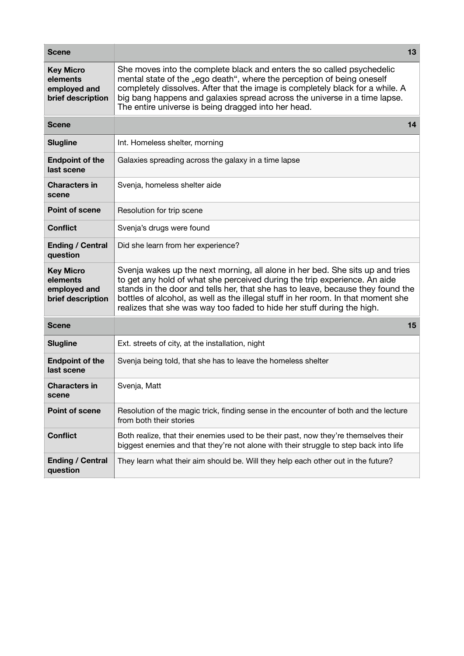| <b>Scene</b>                                                      | 13                                                                                                                                                                                                                                                                                                                                                                                                          |
|-------------------------------------------------------------------|-------------------------------------------------------------------------------------------------------------------------------------------------------------------------------------------------------------------------------------------------------------------------------------------------------------------------------------------------------------------------------------------------------------|
| <b>Key Micro</b><br>elements<br>employed and<br>brief description | She moves into the complete black and enters the so called psychedelic<br>mental state of the "ego death", where the perception of being oneself<br>completely dissolves. After that the image is completely black for a while. A<br>big bang happens and galaxies spread across the universe in a time lapse.<br>The entire universe is being dragged into her head.                                       |
| <b>Scene</b>                                                      | 14                                                                                                                                                                                                                                                                                                                                                                                                          |
| <b>Slugline</b>                                                   | Int. Homeless shelter, morning                                                                                                                                                                                                                                                                                                                                                                              |
| <b>Endpoint of the</b><br>last scene                              | Galaxies spreading across the galaxy in a time lapse                                                                                                                                                                                                                                                                                                                                                        |
| <b>Characters in</b><br>scene                                     | Svenja, homeless shelter aide                                                                                                                                                                                                                                                                                                                                                                               |
| <b>Point of scene</b>                                             | Resolution for trip scene                                                                                                                                                                                                                                                                                                                                                                                   |
| <b>Conflict</b>                                                   | Svenja's drugs were found                                                                                                                                                                                                                                                                                                                                                                                   |
| <b>Ending / Central</b><br>question                               | Did she learn from her experience?                                                                                                                                                                                                                                                                                                                                                                          |
| <b>Key Micro</b><br>elements<br>employed and<br>brief description | Svenja wakes up the next morning, all alone in her bed. She sits up and tries<br>to get any hold of what she perceived during the trip experience. An aide<br>stands in the door and tells her, that she has to leave, because they found the<br>bottles of alcohol, as well as the illegal stuff in her room. In that moment she<br>realizes that she was way too faded to hide her stuff during the high. |
| <b>Scene</b>                                                      | 15                                                                                                                                                                                                                                                                                                                                                                                                          |
| <b>Slugline</b>                                                   | Ext. streets of city, at the installation, night                                                                                                                                                                                                                                                                                                                                                            |
| <b>Endpoint of the</b><br>last scene                              | Svenja being told, that she has to leave the homeless shelter                                                                                                                                                                                                                                                                                                                                               |
| <b>Characters in</b><br>scene                                     | Svenja, Matt                                                                                                                                                                                                                                                                                                                                                                                                |
| <b>Point of scene</b>                                             | Resolution of the magic trick, finding sense in the encounter of both and the lecture<br>from both their stories                                                                                                                                                                                                                                                                                            |
| <b>Conflict</b>                                                   | Both realize, that their enemies used to be their past, now they're themselves their<br>biggest enemies and that they're not alone with their struggle to step back into life                                                                                                                                                                                                                               |
| <b>Ending / Central</b><br>question                               | They learn what their aim should be. Will they help each other out in the future?                                                                                                                                                                                                                                                                                                                           |